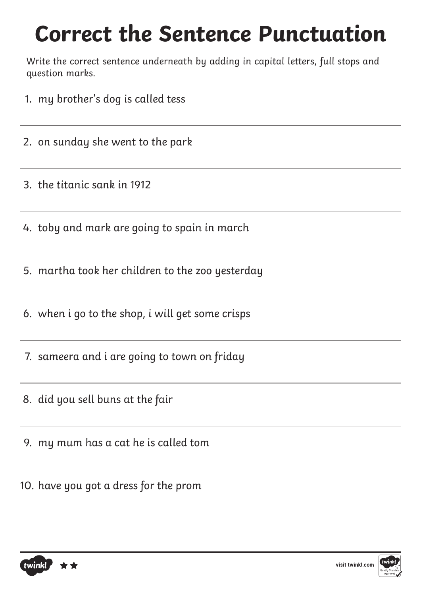## **Correct the Sentence Punctuation**

Write the correct sentence underneath by adding in capital letters, full stops and question marks.

- 1. my brother's dog is called tess
- 2. on sunday she went to the park
- 3. the titanic sank in 1912
- 4. toby and mark are going to spain in march
- 5. martha took her children to the zoo yesterday
- 6. when i go to the shop, i will get some crisps
- 7. sameera and i are going to town on friday
- 8. did you sell buns at the fair
- 9. my mum has a cat he is called tom
- 10. have you got a dress for the prom

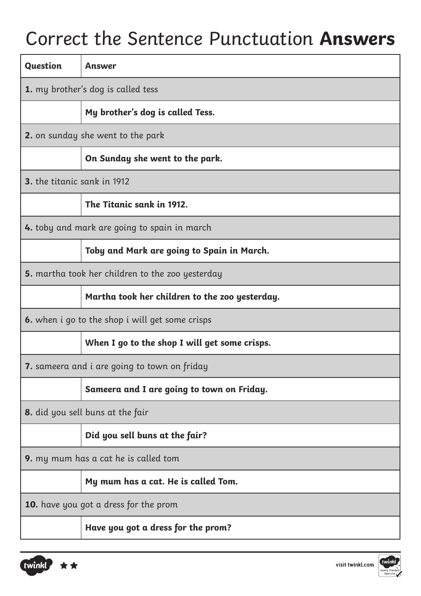## Correct the Sentence Punctuation **Answers**

| <b>Question</b>                                        | <b>Answer</b>                                  |
|--------------------------------------------------------|------------------------------------------------|
| 1. my brother's dog is called tess                     |                                                |
|                                                        | My brother's dog is called Tess.               |
| <b>2.</b> on sunday she went to the park               |                                                |
|                                                        | On Sunday she went to the park.                |
| 3. the titanic sank in 1912                            |                                                |
|                                                        | The Titanic sank in 1912.                      |
| <b>4.</b> toby and mark are going to spain in march    |                                                |
|                                                        | Toby and Mark are going to Spain in March.     |
| 5. martha took her children to the zoo yesterday       |                                                |
|                                                        | Martha took her children to the zoo yesterday. |
| <b>6.</b> when i go to the shop i will get some crisps |                                                |
|                                                        | When I go to the shop I will get some crisps.  |
| <b>7.</b> sameera and i are going to town on friday    |                                                |
|                                                        | Sameera and I are going to town on Friday.     |
| 8. did you sell buns at the fair                       |                                                |
|                                                        | Did you sell buns at the fair?                 |
| 9. my mum has a cat he is called tom                   |                                                |
|                                                        | My mum has a cat. He is called Tom.            |
| <b>10.</b> have you got a dress for the prom           |                                                |
|                                                        | Have you got a dress for the prom?             |



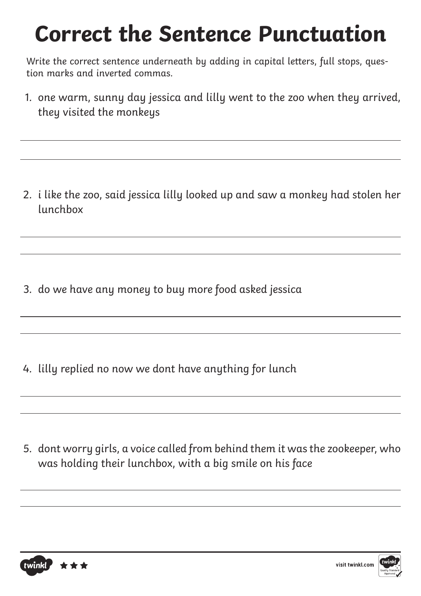## **Correct the Sentence Punctuation**

Write the correct sentence underneath by adding in capital letters, full stops, question marks and inverted commas.

1. one warm, sunny day jessica and lilly went to the zoo when they arrived, they visited the monkeys

2. i like the zoo, said jessica lilly looked up and saw a monkey had stolen her lunchbox

3. do we have any money to buy more food asked jessica

4. lilly replied no now we dont have anything for lunch

5. dont worry girls, a voice called from behind them it was the zookeeper, who was holding their lunchbox, with a big smile on his face